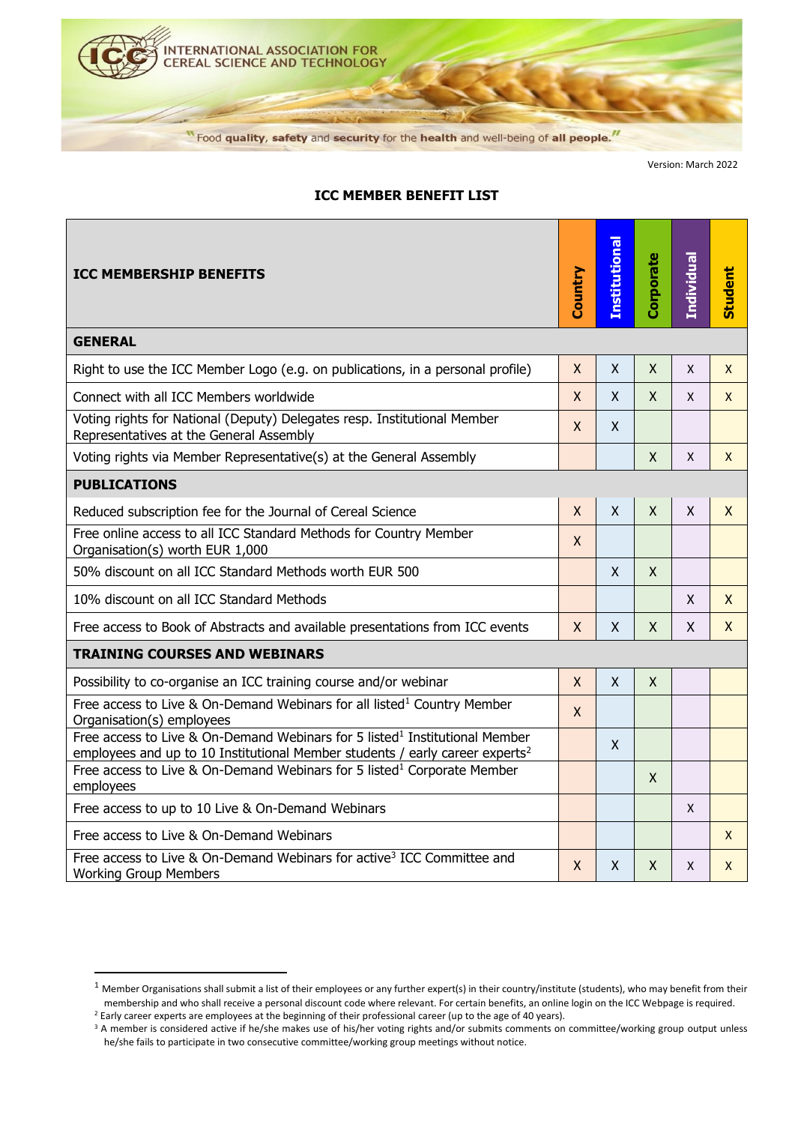

Version: March 2022

## **Institutional** Institutiona **Corporate Individual Student ICC MEMBERSHIP BENEFITS Country GENERAL** Right to use the ICC Member Logo (e.g. on publications, in a personal profile)  $\|\mathbf{x} \times \mathbf{x} \| \mathbf{x} \times \mathbf{x}$ Connect with all ICC Members worldwide X X X X X Voting rights for National (Deputy) Delegates resp. Institutional Member volting rights for National (Deputy) Delegates resp. Institutional Member<br>Representatives at the General Assembly Voting rights via Member Representative(s) at the General Assembly X X X **PUBLICATIONS** Reduced subscription fee for the Journal of Cereal Science  $X = \{X \mid X \mid X \mid X \mid X \in X\}$ Free online access to all ICC Standard Methods for Country Member Organisation(s) worth EUR 1,000 50% discount on all ICC Standard Methods worth EUR 500  $\vert$  X  $\vert$  X  $\vert$  X 10% discount on all ICC Standard Methods X X Free access to Book of Abstracts and available presentations from ICC events  $X \times X + X + X$ **TRAINING COURSES AND WEBINARS** Possibility to co-organise an ICC training course and/or webinar X X X Free access to Live & On-Demand Webinars for all listed<sup>1</sup> Country Member Organisation(s) employees <sup>X</sup> Free access to Live & On-Demand Webinars for 5 listed<sup>1</sup> Institutional Member X employees and up to 10 Institutional Member students / early career experts<sup>2</sup> Free access to Live & On-Demand Webinars for 5 listed<sup>1</sup> Corporate Member  $\begin{array}{|c|c|}\n\hline\n\end{array}$  x Free access to up to 10 Live & On-Demand Webinars X Free access to Live & On-Demand Webinars X (Section 2011) 1 (Section 2012) 1 (Section 2012) 1 (Section 2013) 1 Free access to Live & On-Demand Webinars for active<sup>3</sup> ICC Committee and The access to Live & On-Demand Webmars for active fice committee and  $X = \begin{bmatrix} X & X \\ X & X \end{bmatrix}$   $X = \begin{bmatrix} X & X \\ X & X \end{bmatrix}$

## **ICC MEMBER BENEFIT LIST**

<sup>&</sup>lt;sup>1</sup> Member Organisations shall submit a list of their employees or any further expert(s) in their country/institute (students), who may benefit from their membership and who shall receive a personal discount code where relevant. For certain benefits, an online login on the ICC Webpage is required. <sup>2</sup> Early career experts are employees at the beginning of their professional career (up to the age of 40 years).

<sup>&</sup>lt;sup>3</sup> A member is considered active if he/she makes use of his/her voting rights and/or submits comments on committee/working group output unless he/she fails to participate in two consecutive committee/working group meetings without notice.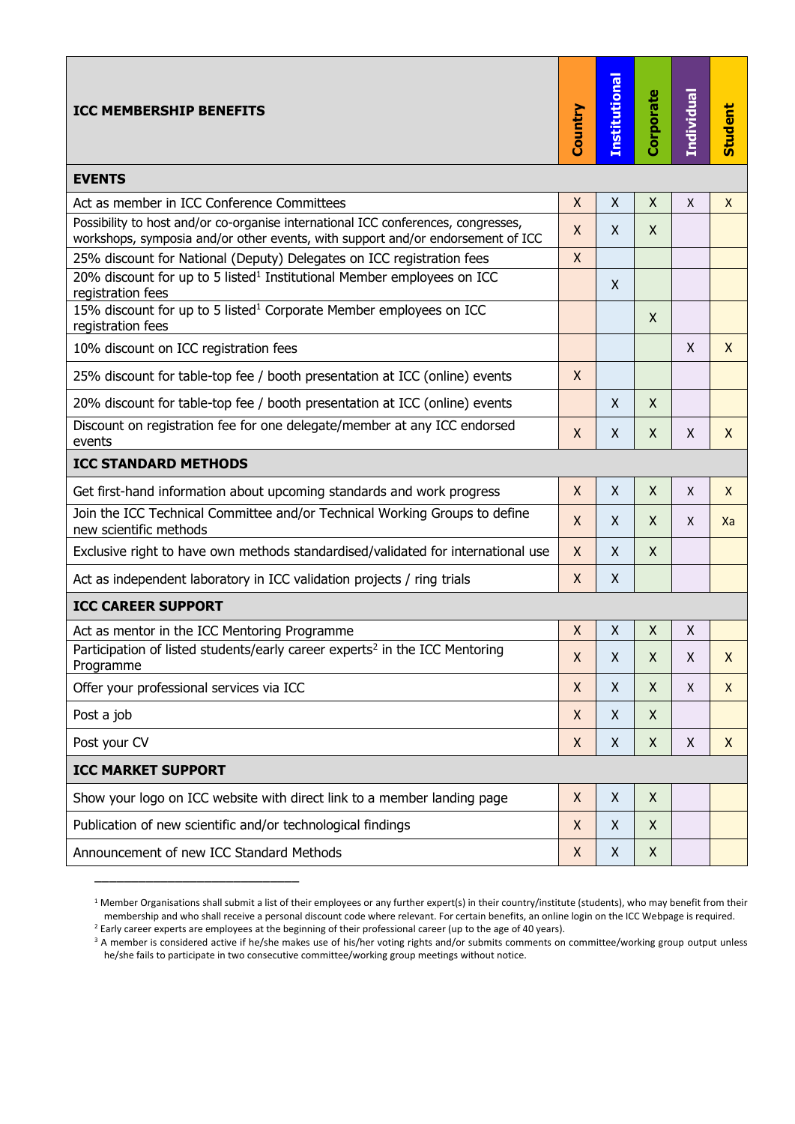| <b>ICC MEMBERSHIP BENEFITS</b>                                                                                                                                       | Country            | <b>Institutional</b> | Corporate          | Individual | <b>Student</b> |  |  |
|----------------------------------------------------------------------------------------------------------------------------------------------------------------------|--------------------|----------------------|--------------------|------------|----------------|--|--|
| <b>EVENTS</b>                                                                                                                                                        |                    |                      |                    |            |                |  |  |
| Act as member in ICC Conference Committees                                                                                                                           | $\mathsf{X}$       | X                    | X                  | X          | X              |  |  |
| Possibility to host and/or co-organise international ICC conferences, congresses,<br>workshops, symposia and/or other events, with support and/or endorsement of ICC | $\pmb{\mathsf{X}}$ | X                    | X                  |            |                |  |  |
| 25% discount for National (Deputy) Delegates on ICC registration fees                                                                                                | $\mathsf{X}$       |                      |                    |            |                |  |  |
| 20% discount for up to 5 listed <sup>1</sup> Institutional Member employees on ICC<br>registration fees                                                              |                    | Χ                    |                    |            |                |  |  |
| 15% discount for up to 5 listed <sup>1</sup> Corporate Member employees on ICC<br>registration fees                                                                  |                    |                      | X                  |            |                |  |  |
| 10% discount on ICC registration fees                                                                                                                                |                    |                      |                    | X          | $\mathsf{X}$   |  |  |
| 25% discount for table-top fee / booth presentation at ICC (online) events                                                                                           | X                  |                      |                    |            |                |  |  |
| 20% discount for table-top fee / booth presentation at ICC (online) events                                                                                           |                    | Χ                    | X                  |            |                |  |  |
| Discount on registration fee for one delegate/member at any ICC endorsed<br>events                                                                                   | X                  | X                    | X                  | X          | $\mathsf{X}$   |  |  |
| <b>ICC STANDARD METHODS</b>                                                                                                                                          |                    |                      |                    |            |                |  |  |
| Get first-hand information about upcoming standards and work progress                                                                                                | X                  | X                    | $\mathsf{X}$       | X          | $\mathsf{X}$   |  |  |
| Join the ICC Technical Committee and/or Technical Working Groups to define<br>new scientific methods                                                                 | X                  | X                    | X                  | X          | Xa             |  |  |
| Exclusive right to have own methods standardised/validated for international use                                                                                     | X                  | X                    | X                  |            |                |  |  |
| Act as independent laboratory in ICC validation projects / ring trials                                                                                               | X                  | $\pmb{\mathsf{X}}$   |                    |            |                |  |  |
| <b>ICC CAREER SUPPORT</b>                                                                                                                                            |                    |                      |                    |            |                |  |  |
| Act as mentor in the ICC Mentoring Programme                                                                                                                         | X                  | X                    | X                  | X          |                |  |  |
| Participation of listed students/early career experts <sup>2</sup> in the ICC Mentoring<br>Programme                                                                 | $\pmb{\mathsf{X}}$ | Χ                    | Χ                  | X          | X              |  |  |
| Offer your professional services via ICC                                                                                                                             | X                  | X                    | X                  | X          | $\mathsf{X}$   |  |  |
| Post a job                                                                                                                                                           | X                  | Χ                    | $\mathsf{X}$       |            |                |  |  |
| Post your CV                                                                                                                                                         | X                  | X                    | $\mathsf{X}$       | Χ          | X              |  |  |
| <b>ICC MARKET SUPPORT</b>                                                                                                                                            |                    |                      |                    |            |                |  |  |
| Show your logo on ICC website with direct link to a member landing page                                                                                              | X                  | Χ                    | X                  |            |                |  |  |
| Publication of new scientific and/or technological findings                                                                                                          | X                  | X                    | X                  |            |                |  |  |
| Announcement of new ICC Standard Methods                                                                                                                             | X                  | X                    | $\pmb{\mathsf{X}}$ |            |                |  |  |

<sup>&</sup>lt;sup>1</sup> Member Organisations shall submit a list of their employees or any further expert(s) in their country/institute (students), who may benefit from their membership and who shall receive a personal discount code where relevant. For certain benefits, an online login on the ICC Webpage is required.

he/she fails to participate in two consecutive committee/working group meetings without notice.

\_\_\_\_\_\_\_\_\_\_\_\_\_\_\_\_\_\_\_\_\_\_\_\_\_\_\_\_

<sup>&</sup>lt;sup>2</sup> Early career experts are employees at the beginning of their professional career (up to the age of 40 years). <sup>3</sup> A member is considered active if he/she makes use of his/her voting rights and/or submits comments on committee/working group output unless